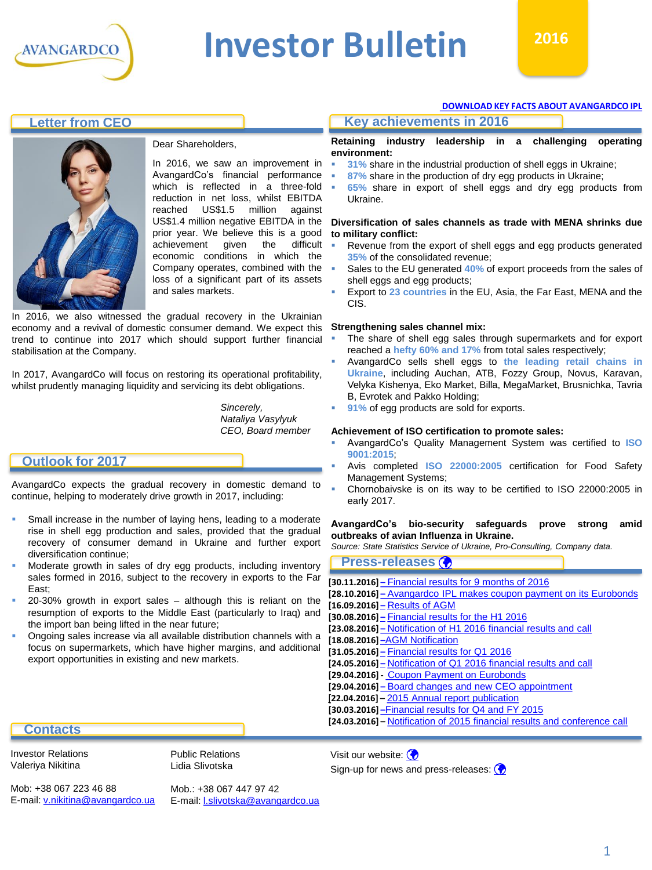

Dear Shareholders,

In 2016, we saw an improvement in AvangardCo's financial performance which is reflected in a three-fold reduction in net loss, whilst EBITDA reached US\$1.5 million against US\$1.4 million negative EBITDA in the prior year. We believe this is a good achievement given the difficult economic conditions in which the Company operates, combined with the loss of a significant part of its assets and sales markets.

In 2016, we also witnessed the gradual recovery in the Ukrainian economy and a revival of domestic consumer demand. We expect this trend to continue into 2017 which should support further financial stabilisation at the Company.

In 2017, AvangardCo will focus on restoring its operational profitability, whilst prudently managing liquidity and servicing its debt obligations.

> *Sincerely, Nataliya Vasylyuk CEO, Board member*

# **Outlook for 2017**

AvangardCo expects the gradual recovery in domestic demand to continue, helping to moderately drive growth in 2017, including:

- Small increase in the number of laying hens, leading to a moderate rise in shell egg production and sales, provided that the gradual recovery of consumer demand in Ukraine and further export diversification continue;
- Moderate growth in sales of dry egg products, including inventory sales formed in 2016, subject to the recovery in exports to the Far East;
- $20-30%$  growth in export sales although this is reliant on the resumption of exports to the Middle East (particularly to Iraq) and the import ban being lifted in the near future;
- Ongoing sales increase via all available distribution channels with a focus on supermarkets, which have higher margins, and additional export opportunities in existing and new markets.

### **[DOWNLOAD KEY FACTS ABOUT AVANGARDCO IPL](http://avangardco.ua/en/investor-relations/data-book/fact-sheet/)**

## **Letter from CEO Key achievements in 2016**

#### **Retaining industry leadership in a challenging operating environment:**

- 31% share in the industrial production of shell eggs in Ukraine;
- **87%** share in the production of dry egg products in Ukraine;
- **65%** share in export of shell eggs and dry egg products from Ukraine.

#### **Diversification of sales channels as trade with MENA shrinks due to military conflict:**

- Revenue from the export of shell eggs and egg products generated **35%** of the consolidated revenue;
- Sales to the EU generated 40% of export proceeds from the sales of shell eggs and egg products;
- Export to 23 countries in the EU, Asia, the Far East, MENA and the CIS.

#### **Strengthening sales channel mix:**

- The share of shell egg sales through supermarkets and for export reached a **hefty 60% and 17%** from total sales respectively;
- AvangardCo sells shell eggs to **the leading retail chains in Ukraine**, including Auchan, ATB, Fozzy Group, Novus, Karavan, Velyka Kishenya, Eko Market, Billa, MegaMarket, Brusnichka, Tavria B, Evrotek and Pakko Holding;
- 91% of egg products are sold for exports.

#### **Achievement of ISO certification to promote sales:**

- AvangardCo's Quality Management System was certified to **ISO 9001:2015**;
- Avis completed **ISO 22000:2005** certification for Food Safety Management Systems;
- Chornobaivske is on its way to be certified to ISO 22000:2005 in early 2017.

#### **AvangardCo's bio-security safeguards prove strong amid outbreaks of avian Influenza in Ukraine.**

*Source: State Statistics Service of Ukraine, Pro-Consulting, Company data.*

| $\blacksquare$                                                            |
|---------------------------------------------------------------------------|
| [30.11.2016] – Financial results for 9 months of 2016                     |
| [28.10.2016] – Avangardco IPL makes coupon payment on its Eurobonds       |
| $[16.09.2016]$ – Results of AGM                                           |
| [30.08.2016] – Financial results for the H1 2016                          |
| [23.08.2016] – Notification of H1 2016 financial results and call         |
| [18.08.2016]-AGM Notification                                             |
| [31.05.2016] - Financial results for Q1 2016                              |
| [24.05.2016] - Notification of Q1 2016 financial results and call         |
| [29.04.2016] - Coupon Payment on Eurobonds                                |
| [29.04.2016] – Board changes and new CEO appointment                      |
| [22.04.2016] - 2015 Annual report publication                             |
| [30.03.2016] - Financial results for Q4 and FY 2015                       |
| [24.03.2016] – Notification of 2015 financial results and conference call |
|                                                                           |

#### **Contacts**

Investor Relations Valeriya Nikitina

Public Relations Lidia Slivotska

Mob.: +38 067 447 97 42 E-mail: [l.slivotska@avangardco.ua](mailto:l.slivotska@avangardco.ua) Visit our website:  $\bigcirc$ Sign-up for news and press-releases: O

**Press-releases** 

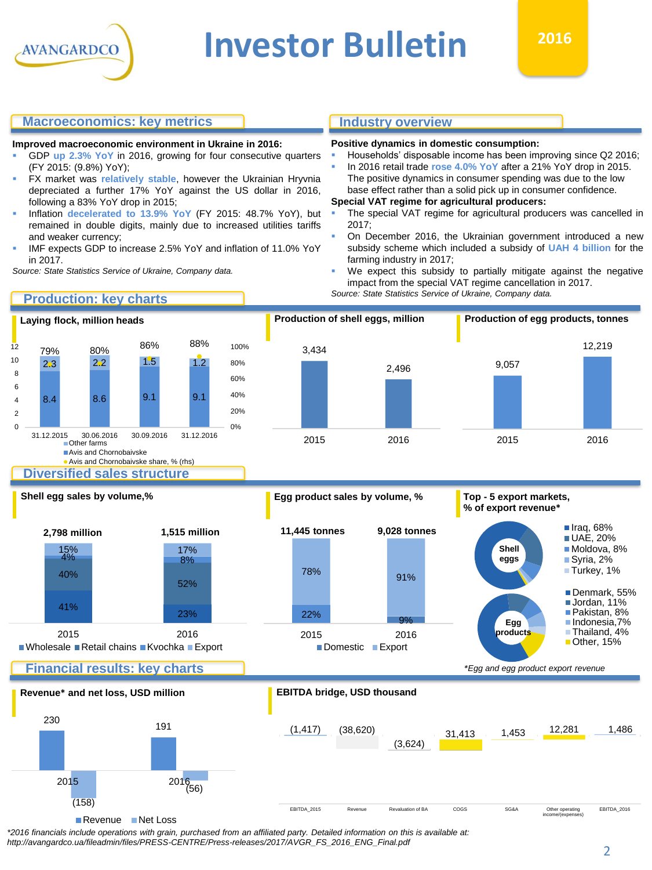

# **Macroeconomics: key metrics**

### **Improved macroeconomic environment in Ukraine in 2016:**

- GDP **up 2.3% YoY** in 2016, growing for four consecutive quarters (FY 2015: (9.8%) YoY);
- **FX market was relatively stable, however the Ukrainian Hryvnia** depreciated a further 17% YoY against the US dollar in 2016, following a 83% YoY drop in 2015;
- Inflation **decelerated to 13.9% YoY** (FY 2015: 48.7% YoY), but remained in double digits, mainly due to increased utilities tariffs and weaker currency;
- IMF expects GDP to increase 2.5% YoY and inflation of 11.0% YoY in 2017.

*Source: State Statistics Service of Ukraine, Company data.*

## **Industry overview**

#### **Positive dynamics in domestic consumption:**

Households' disposable income has been improving since Q2 2016; ▪ In 2016 retail trade **rose 4.0% YoY** after a 21% YoY drop in 2015. The positive dynamics in consumer spending was due to the low base effect rather than a solid pick up in consumer confidence.

#### **Special VAT regime for agricultural producers:**

- The special VAT regime for agricultural producers was cancelled in 2017;
- On December 2016, the Ukrainian government introduced a new subsidy scheme which included a subsidy of **UAH 4 billion** for the farming industry in 2017;
- We expect this subsidy to partially mitigate against the negative impact from the special VAT regime cancellation in 2017. *Source: State Statistics Service of Ukraine, Company data.*



*\*2016 financials include operations with grain, purchased from an affiliated party. Detailed information on this is available at: http://avangardco.ua/fileadmin/files/PRESS-CENTRE/Press-releases/2017/AVGR\_FS\_2016\_ENG\_Final.pdf*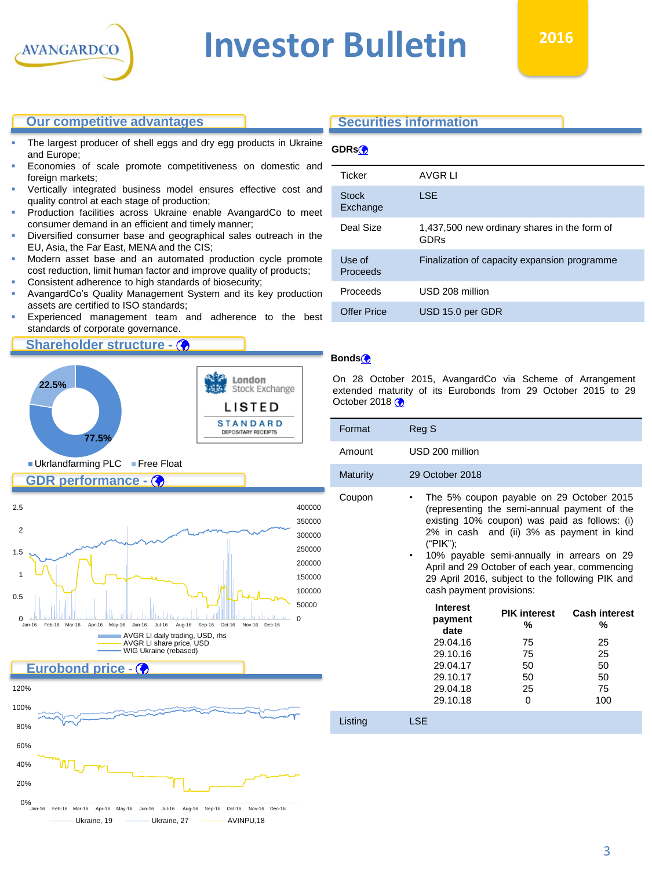

## **Our competitive advantages**

- The largest producer of shell eggs and dry egg products in Ukraine and Europe;
- Economies of scale promote competitiveness on domestic and foreign markets;
- Vertically integrated business model ensures effective cost and quality control at each stage of production;
- Production facilities across Ukraine enable AvangardCo to meet consumer demand in an efficient and timely manner;
- Diversified consumer base and geographical sales outreach in the EU, Asia, the Far East, MENA and the CIS;
- Modern asset base and an automated production cycle promote cost reduction, limit human factor and improve quality of products;
- Consistent adherence to high standards of biosecurity;
- AvangardCo's Quality Management System and its key production assets are certified to ISO standards;
- Experienced management team and adherence to the best standards of corporate governance.

# **Shareholder structure -**



**GDR performance -** Ukrlandfarming PLC Free Float



**Eurobond price -**



# **Securities information**

| Ticker             | AVGR LI                                              |
|--------------------|------------------------------------------------------|
| Stock<br>Exchange  | <b>LSE</b>                                           |
| Deal Size          | 1,437,500 new ordinary shares in the form of<br>GDRs |
| Use of<br>Proceeds | Finalization of capacity expansion programme         |
| Proceeds           | USD 208 million                                      |
| <b>Offer Price</b> | USD 15.0 per GDR                                     |
|                    |                                                      |

#### **Bonds**

On 28 October 2015, AvangardCo via Scheme of Arrangement extended maturity of its Eurobonds from 29 October 2015 to 29 October 2018 $\left(\right)$ 

| Format   | Reg S                                                                                                                                                                                                                                                                                                                                                                                    |                                                        |                                                         |  |
|----------|------------------------------------------------------------------------------------------------------------------------------------------------------------------------------------------------------------------------------------------------------------------------------------------------------------------------------------------------------------------------------------------|--------------------------------------------------------|---------------------------------------------------------|--|
| Amount   | USD 200 million                                                                                                                                                                                                                                                                                                                                                                          |                                                        |                                                         |  |
| Maturity | 29 October 2018                                                                                                                                                                                                                                                                                                                                                                          |                                                        |                                                         |  |
| Coupon   | The 5% coupon payable on 29 October 2015<br>٠<br>(representing the semi-annual payment of the<br>existing 10% coupon) was paid as follows: (i)<br>2% in cash and (ii) 3% as payment in kind<br>$("PIK")$ ;<br>10% payable semi-annually in arrears on 29<br>April and 29 October of each year, commencing<br>29 April 2016, subject to the following PIK and<br>cash payment provisions: |                                                        |                                                         |  |
|          | <b>Interest</b><br>payment<br>date<br>29.04.16<br>29.10.16<br>29.04.17<br>29.10.17<br>29.04.18                                                                                                                                                                                                                                                                                           | <b>PIK interest</b><br>%<br>75<br>75<br>50<br>50<br>25 | <b>Cash interest</b><br>%<br>25<br>25<br>50<br>50<br>75 |  |
|          | 29.10.18                                                                                                                                                                                                                                                                                                                                                                                 | 0                                                      | 100                                                     |  |

Listing LSE